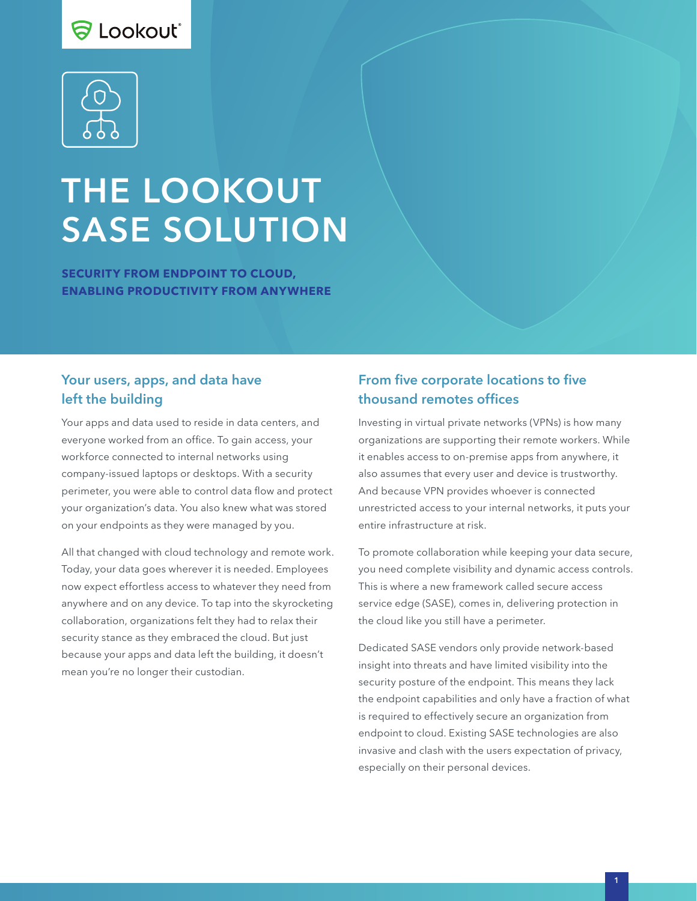# S Lookout\*



# THE LOOKOUT SASE SOLUTION

**SECURITY FROM ENDPOINT TO CLOUD, ENABLING PRODUCTIVITY FROM ANYWHERE**

#### Your users, apps, and data have left the building

Your apps and data used to reside in data centers, and everyone worked from an office. To gain access, your workforce connected to internal networks using company-issued laptops or desktops. With a security perimeter, you were able to control data flow and protect your organization's data. You also knew what was stored on your endpoints as they were managed by you.

All that changed with cloud technology and remote work. Today, your data goes wherever it is needed. Employees now expect effortless access to whatever they need from anywhere and on any device. To tap into the skyrocketing collaboration, organizations felt they had to relax their security stance as they embraced the cloud. But just because your apps and data left the building, it doesn't mean you're no longer their custodian.

# From five corporate locations to five thousand remotes offices

Investing in virtual private networks (VPNs) is how many organizations are supporting their remote workers. While it enables access to on-premise apps from anywhere, it also assumes that every user and device is trustworthy. And because VPN provides whoever is connected unrestricted access to your internal networks, it puts your entire infrastructure at risk.

To promote collaboration while keeping your data secure, you need complete visibility and dynamic access controls. This is where a new framework called secure access service edge (SASE), comes in, delivering protection in the cloud like you still have a perimeter.

Dedicated SASE vendors only provide network-based insight into threats and have limited visibility into the security posture of the endpoint. This means they lack the endpoint capabilities and only have a fraction of what is required to effectively secure an organization from endpoint to cloud. Existing SASE technologies are also invasive and clash with the users expectation of privacy, especially on their personal devices.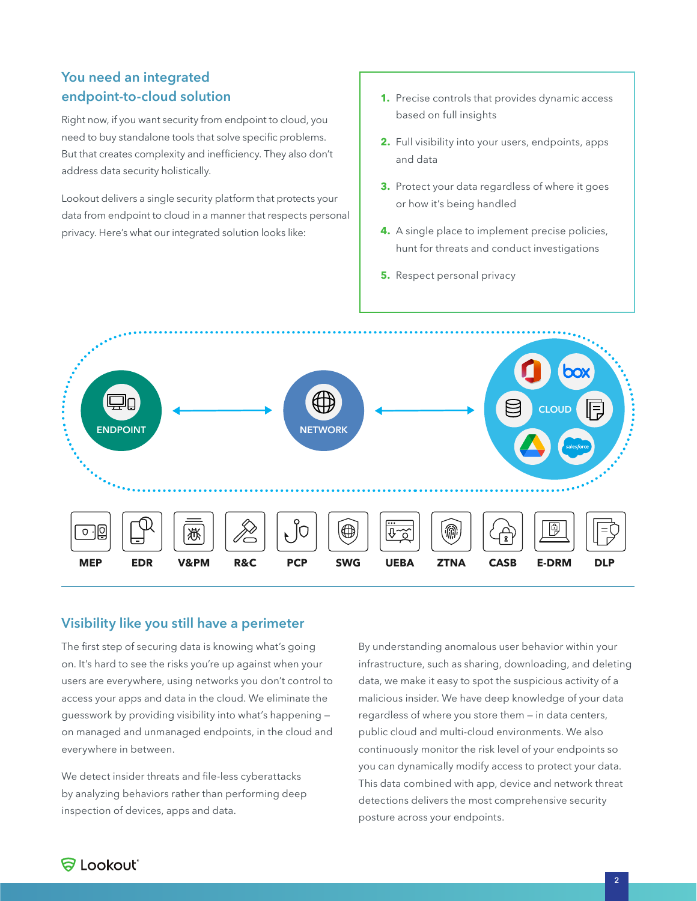# You need an integrated endpoint-to-cloud solution

Right now, if you want security from endpoint to cloud, you need to buy standalone tools that solve specific problems. But that creates complexity and inefficiency. They also don't address data security holistically.

Lookout delivers a single security platform that protects your data from endpoint to cloud in a manner that respects personal privacy. Here's what our integrated solution looks like:

- **1.** Precise controls that provides dynamic access based on full insights
- **2.** Full visibility into your users, endpoints, apps and data
- **3.** Protect your data regardless of where it goes or how it's being handled
- **4.** A single place to implement precise policies, hunt for threats and conduct investigations
- **5.** Respect personal privacy



#### Visibility like you still have a perimeter

The first step of securing data is knowing what's going on. It's hard to see the risks you're up against when your users are everywhere, using networks you don't control to access your apps and data in the cloud. We eliminate the guesswork by providing visibility into what's happening on managed and unmanaged endpoints, in the cloud and everywhere in between.

We detect insider threats and file-less cyberattacks by analyzing behaviors rather than performing deep inspection of devices, apps and data.

By understanding anomalous user behavior within your infrastructure, such as sharing, downloading, and deleting data, we make it easy to spot the suspicious activity of a malicious insider. We have deep knowledge of your data regardless of where you store them — in data centers, public cloud and multi-cloud environments. We also continuously monitor the risk level of your endpoints so you can dynamically modify access to protect your data. This data combined with app, device and network threat detections delivers the most comprehensive security posture across your endpoints.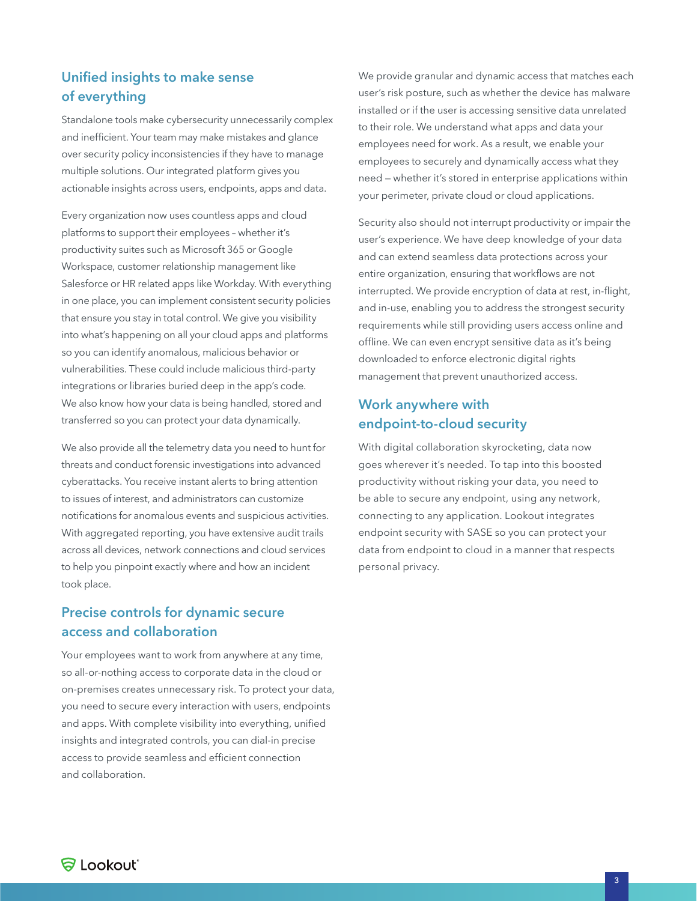# Unified insights to make sense of everything

Standalone tools make cybersecurity unnecessarily complex and inefficient. Your team may make mistakes and glance over security policy inconsistencies if they have to manage multiple solutions. Our integrated platform gives you actionable insights across users, endpoints, apps and data.

Every organization now uses countless apps and cloud platforms to support their employees – whether it's productivity suites such as Microsoft 365 or Google Workspace, customer relationship management like Salesforce or HR related apps like Workday. With everything in one place, you can implement consistent security policies that ensure you stay in total control. We give you visibility into what's happening on all your cloud apps and platforms so you can identify anomalous, malicious behavior or vulnerabilities. These could include malicious third-party integrations or libraries buried deep in the app's code. We also know how your data is being handled, stored and transferred so you can protect your data dynamically.

We also provide all the telemetry data you need to hunt for threats and conduct forensic investigations into advanced cyberattacks. You receive instant alerts to bring attention to issues of interest, and administrators can customize notifications for anomalous events and suspicious activities. With aggregated reporting, you have extensive audit trails across all devices, network connections and cloud services to help you pinpoint exactly where and how an incident took place.

# Precise controls for dynamic secure access and collaboration

Your employees want to work from anywhere at any time, so all-or-nothing access to corporate data in the cloud or on-premises creates unnecessary risk. To protect your data, you need to secure every interaction with users, endpoints and apps. With complete visibility into everything, unified insights and integrated controls, you can dial-in precise access to provide seamless and efficient connection and collaboration.

We provide granular and dynamic access that matches each user's risk posture, such as whether the device has malware installed or if the user is accessing sensitive data unrelated to their role. We understand what apps and data your employees need for work. As a result, we enable your employees to securely and dynamically access what they need — whether it's stored in enterprise applications within your perimeter, private cloud or cloud applications.

Security also should not interrupt productivity or impair the user's experience. We have deep knowledge of your data and can extend seamless data protections across your entire organization, ensuring that workflows are not interrupted. We provide encryption of data at rest, in-flight, and in-use, enabling you to address the strongest security requirements while still providing users access online and offline. We can even encrypt sensitive data as it's being downloaded to enforce electronic digital rights management that prevent unauthorized access.

#### Work anywhere with endpoint-to-cloud security

With digital collaboration skyrocketing, data now goes wherever it's needed. To tap into this boosted productivity without risking your data, you need to be able to secure any endpoint, using any network, connecting to any application. Lookout integrates endpoint security with SASE so you can protect your data from endpoint to cloud in a manner that respects personal privacy.